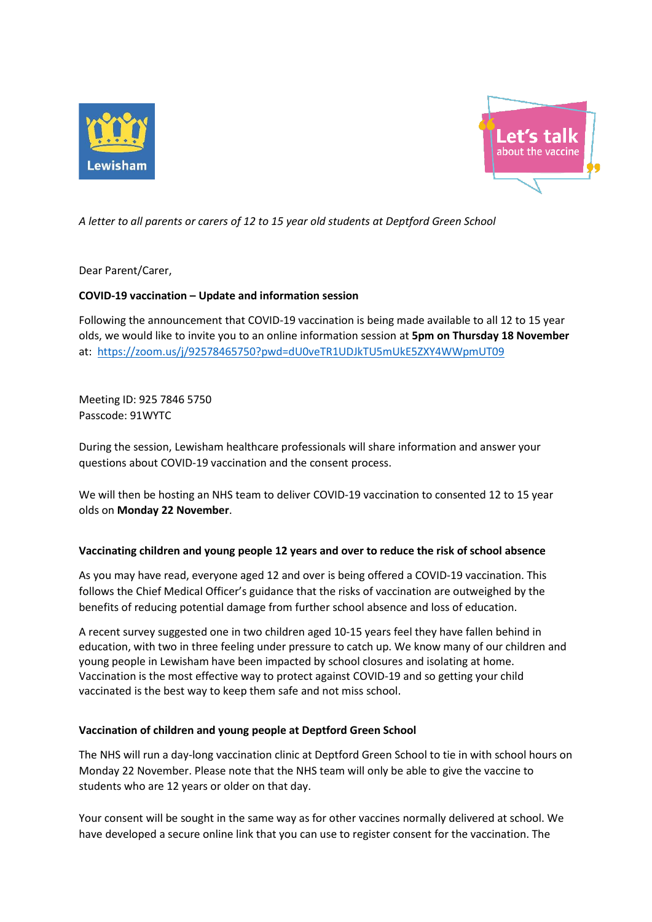



*A letter to all parents or carers of 12 to 15 year old students at Deptford Green School*

Dear Parent/Carer,

#### **COVID-19 vaccination – Update and information session**

Following the announcement that COVID-19 vaccination is being made available to all 12 to 15 year olds, we would like to invite you to an online information session at **5pm on Thursday 18 November** at: <https://zoom.us/j/92578465750?pwd=dU0veTR1UDJkTU5mUkE5ZXY4WWpmUT09>

Meeting ID: 925 7846 5750 Passcode: 91WYTC

During the session, Lewisham healthcare professionals will share information and answer your questions about COVID-19 vaccination and the consent process.

We will then be hosting an NHS team to deliver COVID-19 vaccination to consented 12 to 15 year olds on **Monday 22 November**.

#### **Vaccinating children and young people 12 years and over to reduce the risk of school absence**

As you may have read, everyone aged 12 and over is being offered a COVID-19 vaccination. This follows the Chief Medical Officer's guidance that the risks of vaccination are outweighed by the benefits of reducing potential damage from further school absence and loss of education.

A recent survey suggested one in two children aged 10-15 years feel they have fallen behind in education, with two in three feeling under pressure to catch up. We know many of our children and young people in Lewisham have been impacted by school closures and isolating at home. Vaccination is the most effective way to protect against COVID-19 and so getting your child vaccinated is the best way to keep them safe and not miss school.

#### **Vaccination of children and young people at Deptford Green School**

The NHS will run a day-long vaccination clinic at Deptford Green School to tie in with school hours on Monday 22 November. Please note that the NHS team will only be able to give the vaccine to students who are 12 years or older on that day.

Your consent will be sought in the same way as for other vaccines normally delivered at school. We have developed a secure online link that you can use to register consent for the vaccination. The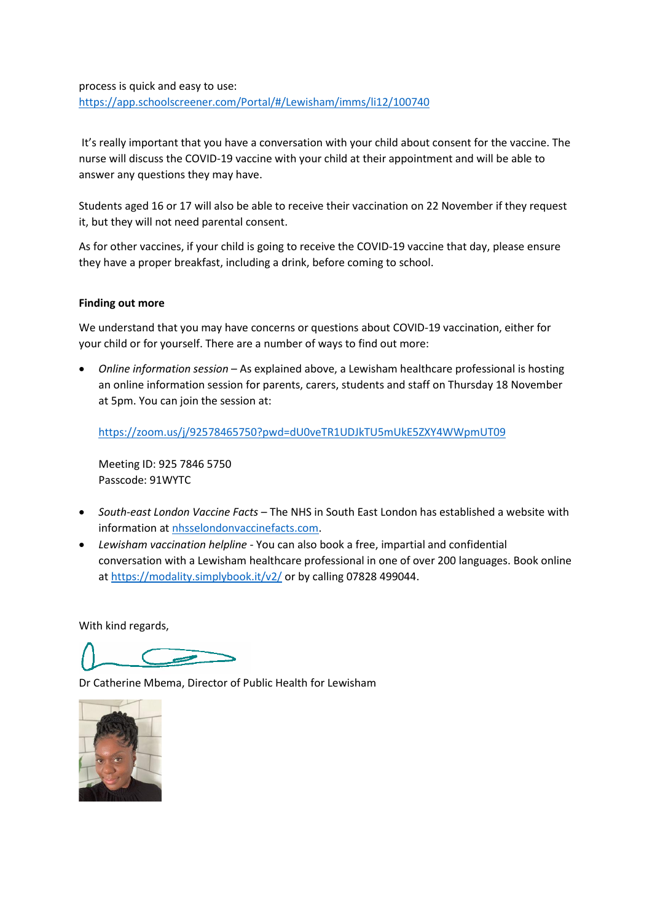process is quick and easy to use: <https://app.schoolscreener.com/Portal/#/Lewisham/imms/li12/100740>

It's really important that you have a conversation with your child about consent for the vaccine. The nurse will discuss the COVID-19 vaccine with your child at their appointment and will be able to answer any questions they may have.

Students aged 16 or 17 will also be able to receive their vaccination on 22 November if they request it, but they will not need parental consent.

As for other vaccines, if your child is going to receive the COVID-19 vaccine that day, please ensure they have a proper breakfast, including a drink, before coming to school.

#### **Finding out more**

We understand that you may have concerns or questions about COVID-19 vaccination, either for your child or for yourself. There are a number of ways to find out more:

• *Online information session* – As explained above, a Lewisham healthcare professional is hosting an online information session for parents, carers, students and staff on Thursday 18 November at 5pm. You can join the session at:

<https://zoom.us/j/92578465750?pwd=dU0veTR1UDJkTU5mUkE5ZXY4WWpmUT09>

Meeting ID: 925 7846 5750 Passcode: 91WYTC

- *South-east London Vaccine Facts*  The NHS in South East London has established a website with information at [nhsselondonvaccinefacts.com.](http://www.nhsselondonvaccinefacts.com/)
- *Lewisham vaccination helpline* You can also book a free, impartial and confidential conversation with a Lewisham healthcare professional in one of over 200 languages. Book online a[t https://modality.simplybook.it/v2/](https://modality.simplybook.it/v2/) or by calling 07828 499044.

With kind regards,

Dr Catherine Mbema, Director of Public Health for Lewisham

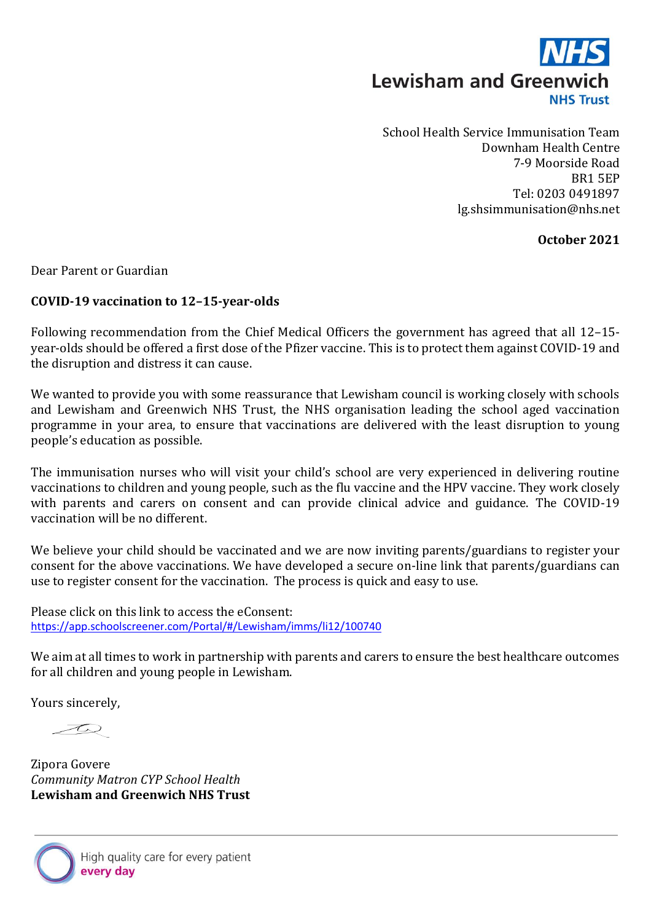

School Health Service Immunisation Team Downham Health Centre 7-9 Moorside Road BR1 5EP Tel: 0203 0491897 lg.shsimmunisation@nhs.net

**October 2021**

Dear Parent or Guardian

#### **COVID-19 vaccination to 12–15-year-olds**

Following recommendation from the Chief Medical Officers the government has agreed that all 12–15 year-olds should be offered a first dose of the Pfizer vaccine. This is to protect them against COVID-19 and the disruption and distress it can cause.

We wanted to provide you with some reassurance that Lewisham council is working closely with schools and Lewisham and Greenwich NHS Trust, the NHS organisation leading the school aged vaccination programme in your area, to ensure that vaccinations are delivered with the least disruption to young people's education as possible.

The immunisation nurses who will visit your child's school are very experienced in delivering routine vaccinations to children and young people, such as the flu vaccine and the HPV vaccine. They work closely with parents and carers on consent and can provide clinical advice and guidance. The COVID-19 vaccination will be no different.

We believe your child should be vaccinated and we are now inviting parents/guardians to register your consent for the above vaccinations. We have developed a secure on-line link that parents/guardians can use to register consent for the vaccination. The process is quick and easy to use.

Please click on this link to access the eConsent: <https://app.schoolscreener.com/Portal/#/Lewisham/imms/li12/100740>

We aim at all times to work in partnership with parents and carers to ensure the best healthcare outcomes for all children and young people in Lewisham.

Yours sincerely,

 $\overline{\mathcal{L}}$ 

Zipora Govere *Community Matron CYP School Health* **Lewisham and Greenwich NHS Trust**

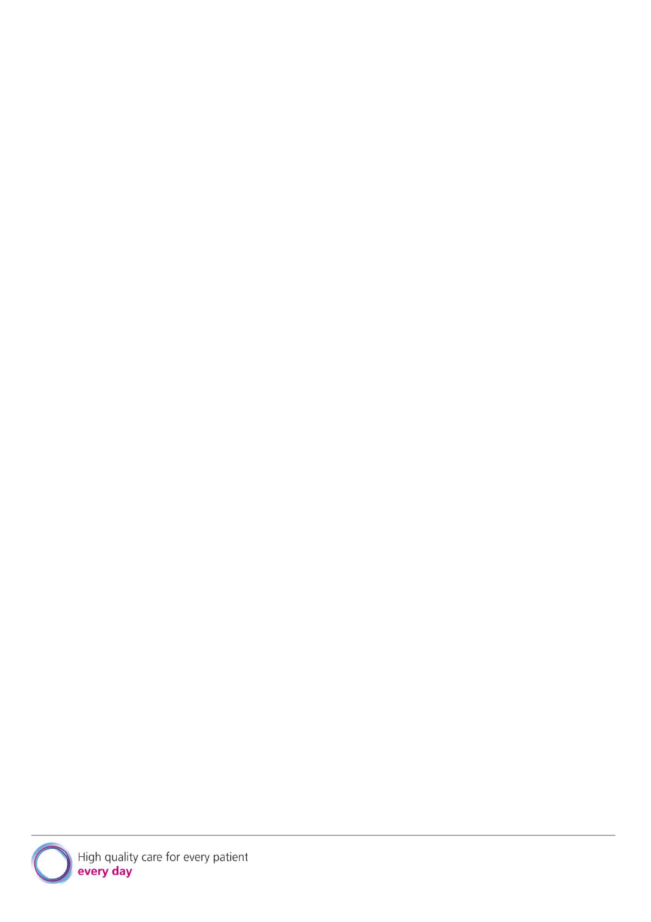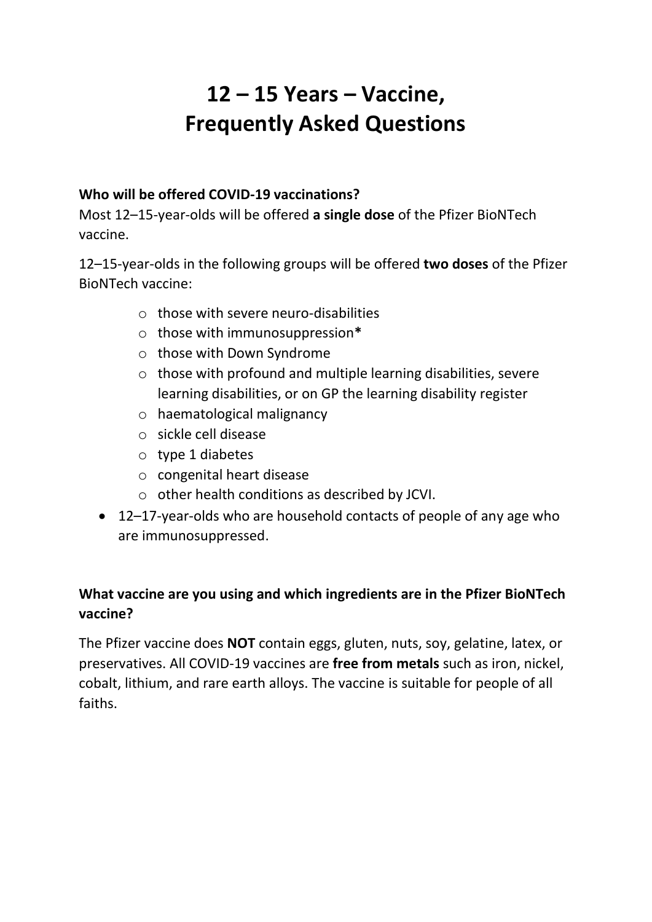# **12 – 15 Years – Vaccine, Frequently Asked Questions**

## **Who will be offered COVID-19 vaccinations?**

Most 12–15-year-olds will be offered **a single dose** of the Pfizer BioNTech vaccine.

12–15-year-olds in the following groups will be offered **two doses** of the Pfizer BioNTech vaccine:

- $\circ$  those with severe neuro-disabilities
- o those with immunosuppression**\***
- o those with Down Syndrome
- o those with profound and multiple learning disabilities, severe learning disabilities, or on GP the learning disability register
- o haematological malignancy
- o sickle cell disease
- o type 1 diabetes
- o congenital heart disease
- o other health conditions as described by JCVI.
- 12–17-year-olds who are household contacts of people of any age who are immunosuppressed.

## **What vaccine are you using and which ingredients are in the Pfizer BioNTech vaccine?**

The Pfizer vaccine does **NOT** contain eggs, gluten, nuts, soy, gelatine, latex, or preservatives. All COVID-19 vaccines are **free from metals** such as iron, nickel, cobalt, lithium, and rare earth alloys. The vaccine is suitable for people of all faiths.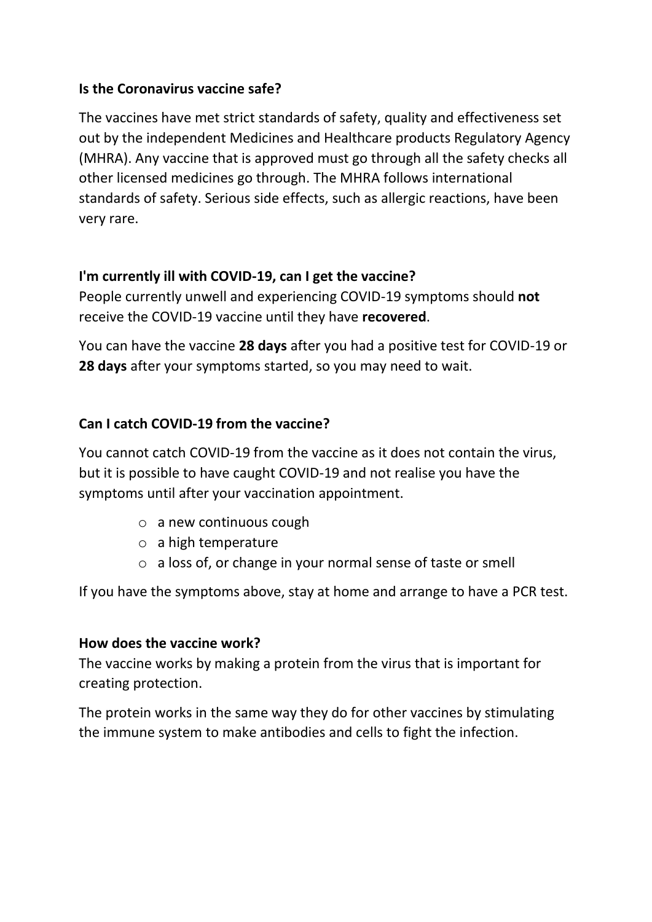#### **Is the Coronavirus vaccine safe?**

The vaccines have met strict standards of safety, quality and effectiveness set out by the independent Medicines and Healthcare products Regulatory Agency (MHRA). Any vaccine that is approved must go through all the safety checks all other licensed medicines go through. The MHRA follows international standards of safety. Serious side effects, such as allergic reactions, have been very rare.

## **I'm currently ill with COVID-19, can I get the vaccine?**

People currently unwell and experiencing COVID-19 symptoms should **not** receive the COVID-19 vaccine until they have **recovered**.

You can have the vaccine **28 days** after you had a positive test for COVID-19 or **28 days** after your symptoms started, so you may need to wait.

## **Can I catch COVID-19 from the vaccine?**

You cannot catch COVID-19 from the vaccine as it does not contain the virus, but it is possible to have caught COVID-19 and not realise you have the symptoms until after your vaccination appointment.

- o a new continuous cough
- o a high temperature
- o a loss of, or change in your normal sense of taste or smell

If you have the symptoms above, stay at home and arrange to have a PCR test.

## **How does the vaccine work?**

The vaccine works by making a protein from the virus that is important for creating protection.

The protein works in the same way they do for other vaccines by stimulating the immune system to make antibodies and cells to fight the infection.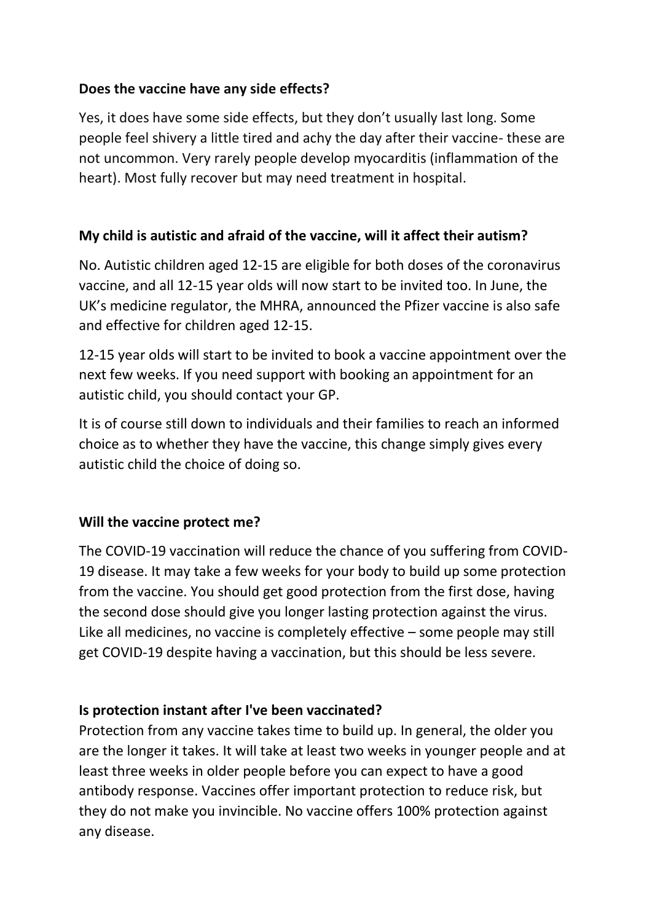## **Does the vaccine have any side effects?**

Yes, it does have some side effects, but they don't usually last long. Some people feel shivery a little tired and achy the day after their vaccine- these are not uncommon. Very rarely people develop myocarditis (inflammation of the heart). Most fully recover but may need treatment in hospital.

## **My child is autistic and afraid of the vaccine, will it affect their autism?**

No. Autistic children aged 12-15 are eligible for both doses of the coronavirus vaccine, and all 12-15 year olds will now start to be invited too. In June, the UK's medicine regulator, the MHRA, announced the Pfizer vaccine is also safe and effective for children aged 12-15.

12-15 year olds will start to be invited to book a vaccine appointment over the next few weeks. If you need support with booking an appointment for an autistic child, you should contact your GP.

It is of course still down to individuals and their families to reach an informed choice as to whether they have the vaccine, this change simply gives every autistic child the choice of doing so.

#### **Will the vaccine protect me?**

The COVID-19 vaccination will reduce the chance of you suffering from COVID-19 disease. It may take a few weeks for your body to build up some protection from the vaccine. You should get good protection from the first dose, having the second dose should give you longer lasting protection against the virus. Like all medicines, no vaccine is completely effective – some people may still get COVID-19 despite having a vaccination, but this should be less severe.

#### **Is protection instant after I've been vaccinated?**

Protection from any vaccine takes time to build up. In general, the older you are the longer it takes. It will take at least two weeks in younger people and at least three weeks in older people before you can expect to have a good antibody response. Vaccines offer important protection to reduce risk, but they do not make you invincible. No vaccine offers 100% protection against any disease.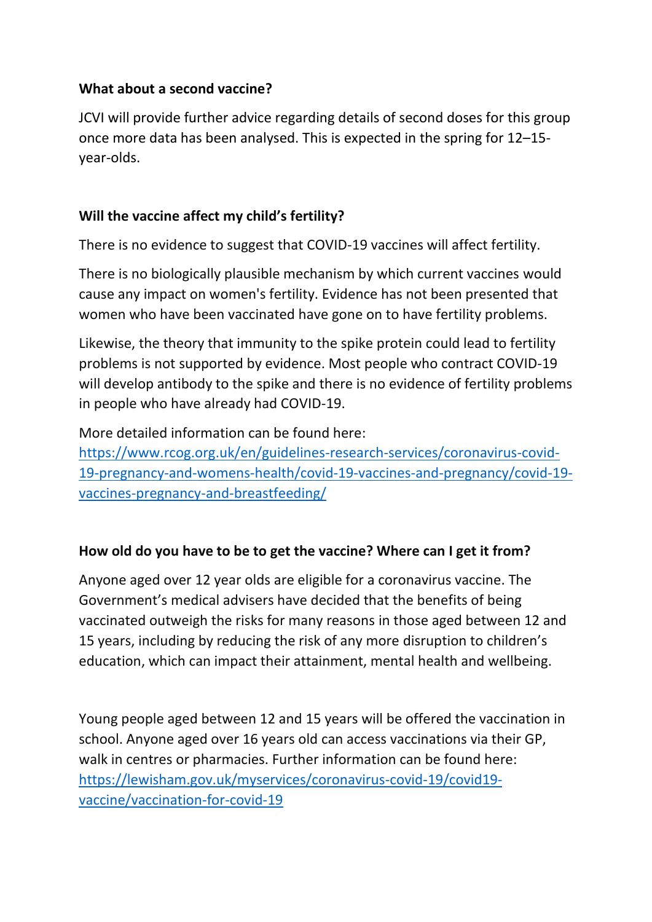#### **What about a second vaccine?**

JCVI will provide further advice regarding details of second doses for this group once more data has been analysed. This is expected in the spring for 12–15 year-olds.

## **Will the vaccine affect my child's fertility?**

There is no evidence to suggest that COVID-19 vaccines will affect fertility.

There is no biologically plausible mechanism by which current vaccines would cause any impact on women's fertility. Evidence has not been presented that women who have been vaccinated have gone on to have fertility problems.

Likewise, the theory that immunity to the spike protein could lead to fertility problems is not supported by evidence. Most people who contract COVID-19 will develop antibody to the spike and there is no evidence of fertility problems in people who have already had COVID-19.

More detailed information can be found here:

[https://www.rcog.org.uk/en/guidelines-research-services/coronavirus-covid-](https://www.rcog.org.uk/en/guidelines-research-services/coronavirus-covid-19-pregnancy-and-womens-health/covid-19-vaccines-and-pregnancy/covid-19-vaccines-pregnancy-and-breastfeeding/)[19-pregnancy-and-womens-health/covid-19-vaccines-and-pregnancy/covid-19](https://www.rcog.org.uk/en/guidelines-research-services/coronavirus-covid-19-pregnancy-and-womens-health/covid-19-vaccines-and-pregnancy/covid-19-vaccines-pregnancy-and-breastfeeding/) [vaccines-pregnancy-and-breastfeeding/](https://www.rcog.org.uk/en/guidelines-research-services/coronavirus-covid-19-pregnancy-and-womens-health/covid-19-vaccines-and-pregnancy/covid-19-vaccines-pregnancy-and-breastfeeding/)

## **How old do you have to be to get the vaccine? Where can I get it from?**

Anyone aged over 12 year olds are eligible for a coronavirus vaccine. The Government's medical advisers have decided that the benefits of being vaccinated outweigh the risks for many reasons in those aged between 12 and 15 years, including by reducing the risk of any more disruption to children's education, which can impact their attainment, mental health and wellbeing.

Young people aged between 12 and 15 years will be offered the vaccination in school. Anyone aged over 16 years old can access vaccinations via their GP, walk in centres or pharmacies. Further information can be found here: [https://lewisham.gov.uk/myservices/coronavirus-covid-19/covid19](https://lewisham.gov.uk/myservices/coronavirus-covid-19/covid19-vaccine/vaccination-for-covid-19) [vaccine/vaccination-for-covid-19](https://lewisham.gov.uk/myservices/coronavirus-covid-19/covid19-vaccine/vaccination-for-covid-19)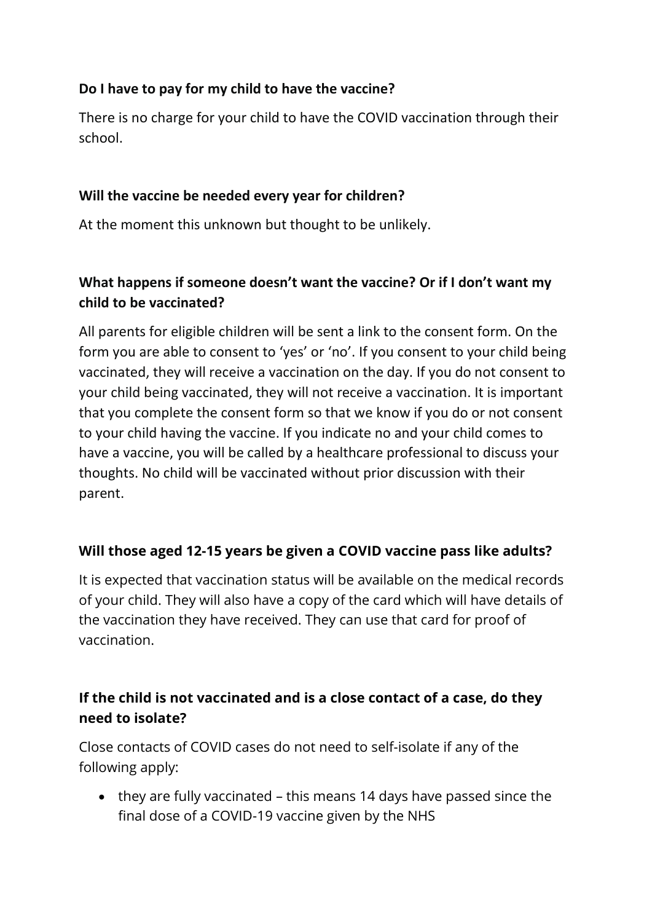## **Do I have to pay for my child to have the vaccine?**

There is no charge for your child to have the COVID vaccination through their school.

#### **Will the vaccine be needed every year for children?**

At the moment this unknown but thought to be unlikely.

# **What happens if someone doesn't want the vaccine? Or if I don't want my child to be vaccinated?**

All parents for eligible children will be sent a link to the consent form. On the form you are able to consent to 'yes' or 'no'. If you consent to your child being vaccinated, they will receive a vaccination on the day. If you do not consent to your child being vaccinated, they will not receive a vaccination. It is important that you complete the consent form so that we know if you do or not consent to your child having the vaccine. If you indicate no and your child comes to have a vaccine, you will be called by a healthcare professional to discuss your thoughts. No child will be vaccinated without prior discussion with their parent.

## **Will those aged 12-15 years be given a COVID vaccine pass like adults?**

It is expected that vaccination status will be available on the medical records of your child. They will also have a copy of the card which will have details of the vaccination they have received. They can use that card for proof of vaccination.

# **If the child is not vaccinated and is a close contact of a case, do they need to isolate?**

Close contacts of COVID cases do not need to self-isolate if any of the following apply:

• they are fully vaccinated – this means 14 days have passed since the final dose of a COVID-19 vaccine given by the NHS